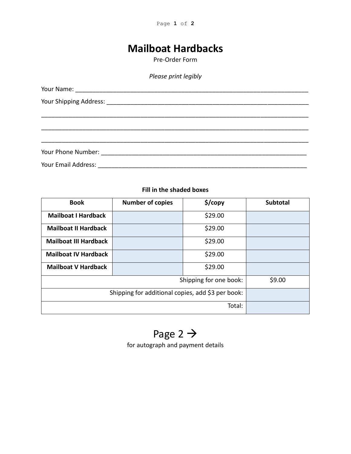Page **1** of **2**

# **Mailboat Hardbacks**

Pre-Order Form

### *Please print legibly*

#### **Fill in the shaded boxes**

| <b>Book</b>                                       | <b>Number of copies</b> | \$/copy | <b>Subtotal</b> |
|---------------------------------------------------|-------------------------|---------|-----------------|
| <b>Mailboat I Hardback</b>                        |                         | \$29.00 |                 |
| <b>Mailboat II Hardback</b>                       |                         | \$29.00 |                 |
| <b>Mailboat III Hardback</b>                      |                         | \$29.00 |                 |
| <b>Mailboat IV Hardback</b>                       |                         | \$29.00 |                 |
| <b>Mailboat V Hardback</b>                        |                         | \$29.00 |                 |
| Shipping for one book:                            |                         |         | \$9.00          |
| Shipping for additional copies, add \$3 per book: |                         |         |                 |
| Total:                                            |                         |         |                 |

Page 2  $\rightarrow$ for autograph and payment details